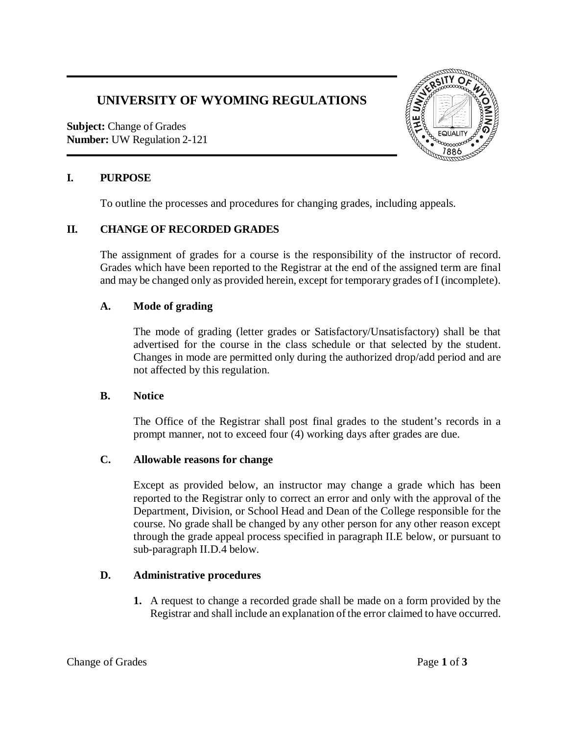# **UNIVERSITY OF WYOMING REGULATIONS**

**Subject:** Change of Grades **Number:** UW Regulation 2-121



## **I. PURPOSE**

To outline the processes and procedures for changing grades, including appeals.

# **II. CHANGE OF RECORDED GRADES**

The assignment of grades for a course is the responsibility of the instructor of record. Grades which have been reported to the Registrar at the end of the assigned term are final and may be changed only as provided herein, except for temporary grades of I (incomplete).

#### **A. Mode of grading**

The mode of grading (letter grades or Satisfactory/Unsatisfactory) shall be that advertised for the course in the class schedule or that selected by the student. Changes in mode are permitted only during the authorized drop/add period and are not affected by this regulation.

## **B. Notice**

The Office of the Registrar shall post final grades to the student's records in a prompt manner, not to exceed four (4) working days after grades are due.

## **C. Allowable reasons for change**

Except as provided below, an instructor may change a grade which has been reported to the Registrar only to correct an error and only with the approval of the Department, Division, or School Head and Dean of the College responsible for the course. No grade shall be changed by any other person for any other reason except through the grade appeal process specified in paragraph II.E below, or pursuant to sub-paragraph II.D.4 below.

## **D. Administrative procedures**

**1.** A request to change a recorded grade shall be made on a form provided by the Registrar and shall include an explanation of the error claimed to have occurred.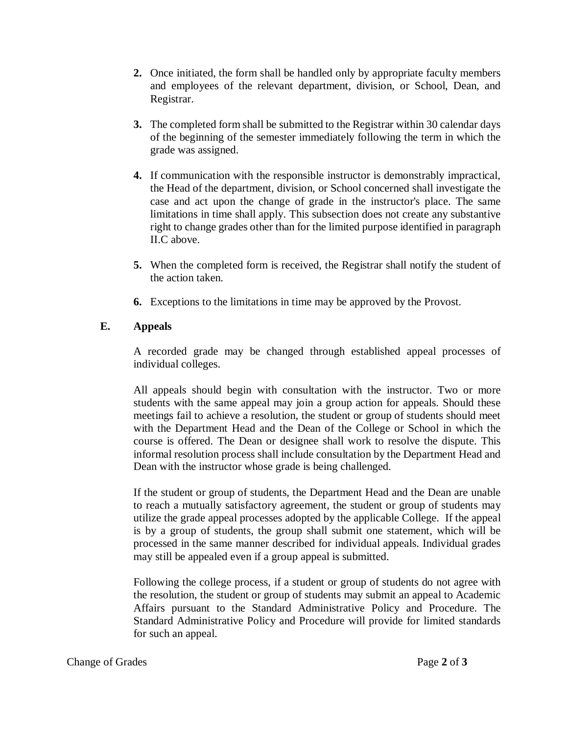- **2.** Once initiated, the form shall be handled only by appropriate faculty members and employees of the relevant department, division, or School, Dean, and Registrar.
- **3.** The completed form shall be submitted to the Registrar within 30 calendar days of the beginning of the semester immediately following the term in which the grade was assigned.
- **4.** If communication with the responsible instructor is demonstrably impractical, the Head of the department, division, or School concerned shall investigate the case and act upon the change of grade in the instructor's place. The same limitations in time shall apply. This subsection does not create any substantive right to change grades other than for the limited purpose identified in paragraph II.C above.
- **5.** When the completed form is received, the Registrar shall notify the student of the action taken.
- **6.** Exceptions to the limitations in time may be approved by the Provost.

# **E. Appeals**

A recorded grade may be changed through established appeal processes of individual colleges.

All appeals should begin with consultation with the instructor. Two or more students with the same appeal may join a group action for appeals. Should these meetings fail to achieve a resolution, the student or group of students should meet with the Department Head and the Dean of the College or School in which the course is offered. The Dean or designee shall work to resolve the dispute. This informal resolution process shall include consultation by the Department Head and Dean with the instructor whose grade is being challenged.

If the student or group of students, the Department Head and the Dean are unable to reach a mutually satisfactory agreement, the student or group of students may utilize the grade appeal processes adopted by the applicable College. If the appeal is by a group of students, the group shall submit one statement, which will be processed in the same manner described for individual appeals. Individual grades may still be appealed even if a group appeal is submitted.

Following the college process, if a student or group of students do not agree with the resolution, the student or group of students may submit an appeal to Academic Affairs pursuant to the Standard Administrative Policy and Procedure. The Standard Administrative Policy and Procedure will provide for limited standards for such an appeal.